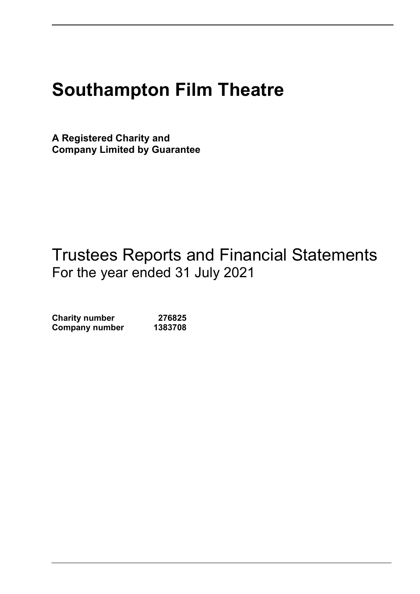# Southampton Film Theatre

A Registered Charity and Company Limited by Guarantee

## Trustees Reports and Financial Statements For the year ended 31 July 2021

Charity number 276825 Company number 1383708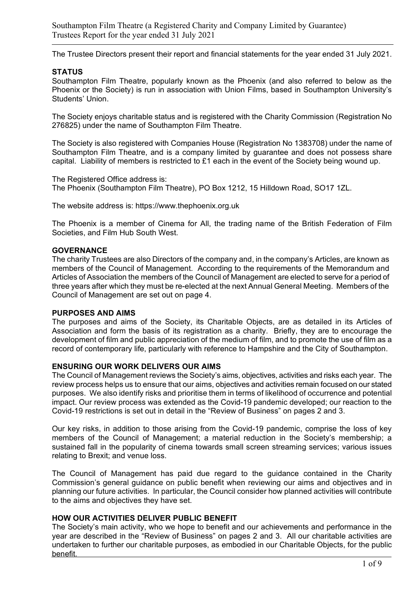Southampton Film Theatre (a Registered Charity and Company Limited by Guarantee) Trustees Report for the year ended 31 July 2021

The Trustee Directors present their report and financial statements for the year ended 31 July 2021.

#### **STATUS**

Southampton Film Theatre, popularly known as the Phoenix (and also referred to below as the Phoenix or the Society) is run in association with Union Films, based in Southampton University's Students' Union.

The Society enjoys charitable status and is registered with the Charity Commission (Registration No 276825) under the name of Southampton Film Theatre.

The Society is also registered with Companies House (Registration No 1383708) under the name of Southampton Film Theatre, and is a company limited by guarantee and does not possess share capital. Liability of members is restricted to £1 each in the event of the Society being wound up.

The Registered Office address is: The Phoenix (Southampton Film Theatre), PO Box 1212, 15 Hilldown Road, SO17 1ZL.

The website address is: https://www.thephoenix.org.uk

The Phoenix is a member of Cinema for All, the trading name of the British Federation of Film Societies, and Film Hub South West.

#### **GOVERNANCE**

The charity Trustees are also Directors of the company and, in the company's Articles, are known as members of the Council of Management. According to the requirements of the Memorandum and Articles of Association the members of the Council of Management are elected to serve for a period of three years after which they must be re-elected at the next Annual General Meeting. Members of the Council of Management are set out on page 4.

#### PURPOSES AND AIMS

The purposes and aims of the Society, its Charitable Objects, are as detailed in its Articles of Association and form the basis of its registration as a charity. Briefly, they are to encourage the development of film and public appreciation of the medium of film, and to promote the use of film as a record of contemporary life, particularly with reference to Hampshire and the City of Southampton.

#### ENSURING OUR WORK DELIVERS OUR AIMS

The Council of Management reviews the Society's aims, objectives, activities and risks each year. The review process helps us to ensure that our aims, objectives and activities remain focused on our stated purposes. We also identify risks and prioritise them in terms of likelihood of occurrence and potential impact. Our review process was extended as the Covid-19 pandemic developed; our reaction to the Covid-19 restrictions is set out in detail in the "Review of Business" on pages 2 and 3.

Our key risks, in addition to those arising from the Covid-19 pandemic, comprise the loss of key members of the Council of Management; a material reduction in the Society's membership; a sustained fall in the popularity of cinema towards small screen streaming services; various issues relating to Brexit; and venue loss.

The Council of Management has paid due regard to the guidance contained in the Charity Commission's general guidance on public benefit when reviewing our aims and objectives and in planning our future activities. In particular, the Council consider how planned activities will contribute to the aims and objectives they have set.

#### HOW OUR ACTIVITIES DELIVER PUBLIC BENEFIT

The Society's main activity, who we hope to benefit and our achievements and performance in the year are described in the "Review of Business" on pages 2 and 3. All our charitable activities are undertaken to further our charitable purposes, as embodied in our Charitable Objects, for the public benefit.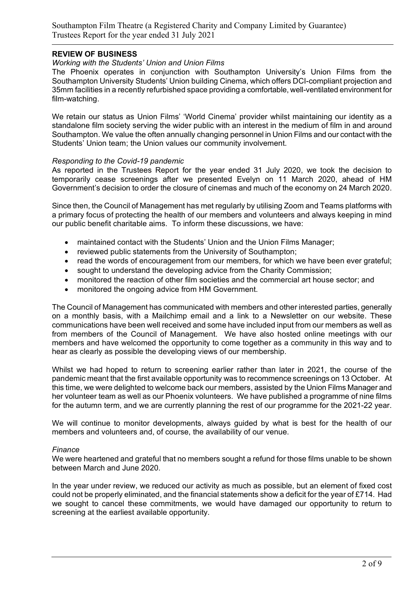#### REVIEW OF BUSINESS

#### Working with the Students' Union and Union Films

The Phoenix operates in conjunction with Southampton University's Union Films from the Southampton University Students' Union building Cinema, which offers DCI-compliant projection and 35mm facilities in a recently refurbished space providing a comfortable, well-ventilated environment for film-watching.

We retain our status as Union Films' 'World Cinema' provider whilst maintaining our identity as a standalone film society serving the wider public with an interest in the medium of film in and around Southampton. We value the often annually changing personnel in Union Films and our contact with the Students' Union team; the Union values our community involvement.

#### Responding to the Covid-19 pandemic

As reported in the Trustees Report for the year ended 31 July 2020, we took the decision to temporarily cease screenings after we presented Evelyn on 11 March 2020, ahead of HM Government's decision to order the closure of cinemas and much of the economy on 24 March 2020.

Since then, the Council of Management has met regularly by utilising Zoom and Teams platforms with a primary focus of protecting the health of our members and volunteers and always keeping in mind our public benefit charitable aims. To inform these discussions, we have:

- maintained contact with the Students' Union and the Union Films Manager;
- reviewed public statements from the University of Southampton;
- read the words of encouragement from our members, for which we have been ever grateful;
- sought to understand the developing advice from the Charity Commission;
- monitored the reaction of other film societies and the commercial art house sector; and
- monitored the ongoing advice from HM Government.

The Council of Management has communicated with members and other interested parties, generally on a monthly basis, with a Mailchimp email and a link to a Newsletter on our website. These communications have been well received and some have included input from our members as well as from members of the Council of Management. We have also hosted online meetings with our members and have welcomed the opportunity to come together as a community in this way and to hear as clearly as possible the developing views of our membership.

Whilst we had hoped to return to screening earlier rather than later in 2021, the course of the pandemic meant that the first available opportunity was to recommence screenings on 13 October. At this time, we were delighted to welcome back our members, assisted by the Union Films Manager and her volunteer team as well as our Phoenix volunteers. We have published a programme of nine films for the autumn term, and we are currently planning the rest of our programme for the 2021-22 year.

We will continue to monitor developments, always guided by what is best for the health of our members and volunteers and, of course, the availability of our venue.

#### **Finance**

We were heartened and grateful that no members sought a refund for those films unable to be shown between March and June 2020.

In the year under review, we reduced our activity as much as possible, but an element of fixed cost could not be properly eliminated, and the financial statements show a deficit for the year of £714. Had we sought to cancel these commitments, we would have damaged our opportunity to return to screening at the earliest available opportunity.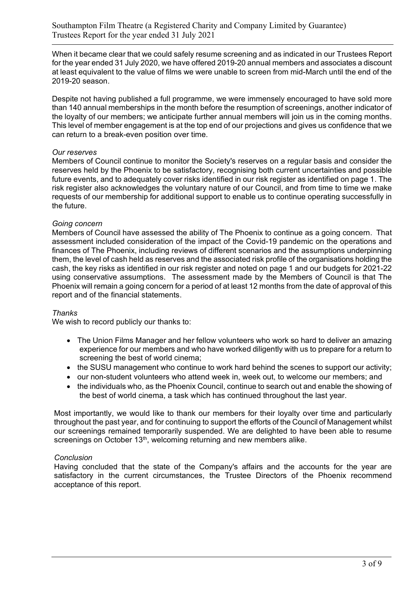When it became clear that we could safely resume screening and as indicated in our Trustees Report for the year ended 31 July 2020, we have offered 2019-20 annual members and associates a discount at least equivalent to the value of films we were unable to screen from mid-March until the end of the 2019-20 season.

Despite not having published a full programme, we were immensely encouraged to have sold more than 140 annual memberships in the month before the resumption of screenings, another indicator of the loyalty of our members; we anticipate further annual members will join us in the coming months. This level of member engagement is at the top end of our projections and gives us confidence that we can return to a break-even position over time.

#### Our reserves

Members of Council continue to monitor the Society's reserves on a regular basis and consider the reserves held by the Phoenix to be satisfactory, recognising both current uncertainties and possible future events, and to adequately cover risks identified in our risk register as identified on page 1. The risk register also acknowledges the voluntary nature of our Council, and from time to time we make requests of our membership for additional support to enable us to continue operating successfully in the future.

#### Going concern

Members of Council have assessed the ability of The Phoenix to continue as a going concern. That assessment included consideration of the impact of the Covid-19 pandemic on the operations and finances of The Phoenix, including reviews of different scenarios and the assumptions underpinning them, the level of cash held as reserves and the associated risk profile of the organisations holding the cash, the key risks as identified in our risk register and noted on page 1 and our budgets for 2021-22 using conservative assumptions. The assessment made by the Members of Council is that The Phoenix will remain a going concern for a period of at least 12 months from the date of approval of this report and of the financial statements.

#### Thanks

We wish to record publicly our thanks to:

- The Union Films Manager and her fellow volunteers who work so hard to deliver an amazing experience for our members and who have worked diligently with us to prepare for a return to screening the best of world cinema;
- the SUSU management who continue to work hard behind the scenes to support our activity;
- our non-student volunteers who attend week in, week out, to welcome our members; and
- the individuals who, as the Phoenix Council, continue to search out and enable the showing of the best of world cinema, a task which has continued throughout the last year.

Most importantly, we would like to thank our members for their loyalty over time and particularly throughout the past year, and for continuing to support the efforts of the Council of Management whilst our screenings remained temporarily suspended. We are delighted to have been able to resume screenings on October 13<sup>th</sup>, welcoming returning and new members alike.

#### **Conclusion**

Having concluded that the state of the Company's affairs and the accounts for the year are satisfactory in the current circumstances, the Trustee Directors of the Phoenix recommend acceptance of this report.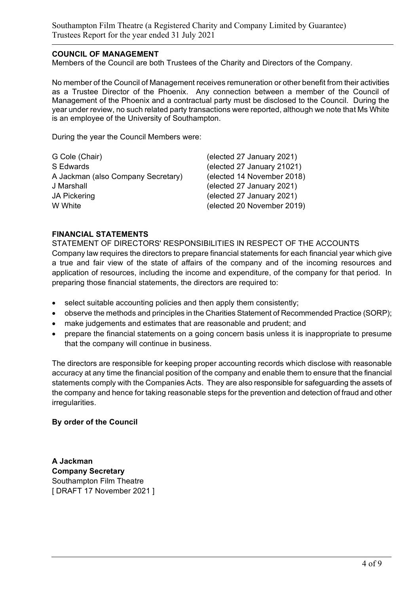Southampton Film Theatre (a Registered Charity and Company Limited by Guarantee) Trustees Report for the year ended 31 July 2021

#### COUNCIL OF MANAGEMENT

Members of the Council are both Trustees of the Charity and Directors of the Company.

No member of the Council of Management receives remuneration or other benefit from their activities as a Trustee Director of the Phoenix. Any connection between a member of the Council of Management of the Phoenix and a contractual party must be disclosed to the Council. During the year under review, no such related party transactions were reported, although we note that Ms White is an employee of the University of Southampton.

During the year the Council Members were:

| G Cole (Chair)                     | (elected 27 January 2021)  |
|------------------------------------|----------------------------|
| S Edwards                          | (elected 27 January 21021) |
| A Jackman (also Company Secretary) | (elected 14 November 2018) |
| J Marshall                         | (elected 27 January 2021)  |
| <b>JA Pickering</b>                | (elected 27 January 2021)  |
| W White                            | (elected 20 November 2019) |
|                                    |                            |

#### FINANCIAL STATEMENTS

STATEMENT OF DIRECTORS' RESPONSIBILITIES IN RESPECT OF THE ACCOUNTS Company law requires the directors to prepare financial statements for each financial year which give a true and fair view of the state of affairs of the company and of the incoming resources and application of resources, including the income and expenditure, of the company for that period. In preparing those financial statements, the directors are required to:

- select suitable accounting policies and then apply them consistently;
- observe the methods and principles in the Charities Statement of Recommended Practice (SORP);
- make judgements and estimates that are reasonable and prudent; and
- prepare the financial statements on a going concern basis unless it is inappropriate to presume that the company will continue in business.

The directors are responsible for keeping proper accounting records which disclose with reasonable accuracy at any time the financial position of the company and enable them to ensure that the financial statements comply with the Companies Acts. They are also responsible for safeguarding the assets of the company and hence for taking reasonable steps for the prevention and detection of fraud and other irregularities.

#### By order of the Council

A Jackman Company Secretary Southampton Film Theatre [ DRAFT 17 November 2021 ]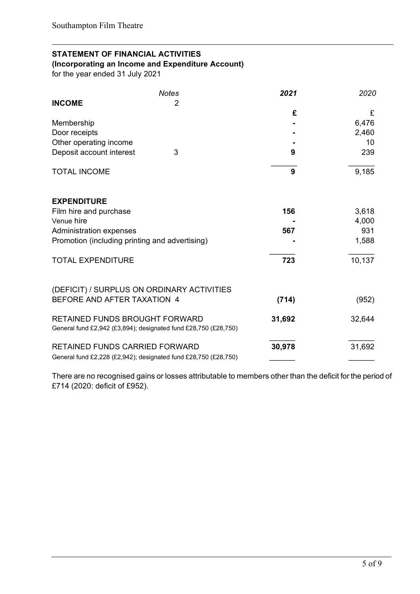### STATEMENT OF FINANCIAL ACTIVITIES

(Incorporating an Income and Expenditure Account)

for the year ended 31 July 2021

|                                                | <b>Notes</b>                                                    | 2021   | 2020   |
|------------------------------------------------|-----------------------------------------------------------------|--------|--------|
| <b>INCOME</b>                                  | 2                                                               |        |        |
|                                                |                                                                 | £      | £      |
| Membership                                     |                                                                 |        | 6,476  |
| Door receipts                                  |                                                                 |        | 2,460  |
| Other operating income                         |                                                                 |        | 10     |
| Deposit account interest                       | 3                                                               | 9      | 239    |
| <b>TOTAL INCOME</b>                            |                                                                 | 9      | 9,185  |
| <b>EXPENDITURE</b>                             |                                                                 |        |        |
| Film hire and purchase                         |                                                                 | 156    | 3,618  |
| Venue hire                                     |                                                                 |        | 4,000  |
| Administration expenses                        |                                                                 | 567    | 931    |
| Promotion (including printing and advertising) |                                                                 |        | 1,588  |
| <b>TOTAL EXPENDITURE</b>                       |                                                                 | 723    | 10,137 |
|                                                | (DEFICIT) / SURPLUS ON ORDINARY ACTIVITIES                      |        |        |
| BEFORE AND AFTER TAXATION 4                    |                                                                 | (714)  | (952)  |
| <b>RETAINED FUNDS BROUGHT FORWARD</b>          | General fund £2,942 (£3,894); designated fund £28,750 (£28,750) | 31,692 | 32,644 |
| <b>RETAINED FUNDS CARRIED FORWARD</b>          | General fund £2,228 (£2,942); designated fund £28,750 (£28,750) | 30,978 | 31,692 |

There are no recognised gains or losses attributable to members other than the deficit for the period of £714 (2020: deficit of £952).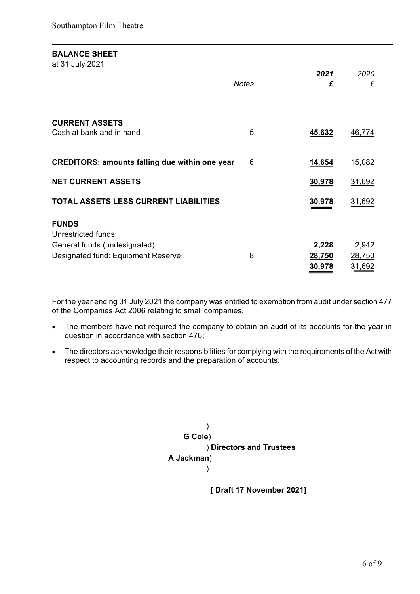#### BALANCE SHEET

at 31 July 2021

|                                                       | <b>Notes</b> | 2021<br>£ | 2020<br>£ |
|-------------------------------------------------------|--------------|-----------|-----------|
| <b>CURRENT ASSETS</b><br>Cash at bank and in hand     | 5            | 45,632    | 46,774    |
| <b>CREDITORS: amounts falling due within one year</b> | 6            | 14,654    | 15,082    |
| <b>NET CURRENT ASSETS</b>                             |              | 30,978    | 31,692    |
| TOTAL ASSETS LESS CURRENT LIABILITIES                 |              | 30,978    | 31,692    |
| <b>FUNDS</b><br>Unrestricted funds:                   |              |           |           |
| General funds (undesignated)                          |              | 2,228     | 2,942     |
| Designated fund: Equipment Reserve                    | 8            | 28,750    | 28,750    |
|                                                       |              | 30,978    | 31,692    |

For the year ending 31 July 2021 the company was entitled to exemption from audit under section 477 of the Companies Act 2006 relating to small companies.

- The members have not required the company to obtain an audit of its accounts for the year in question in accordance with section 476;
- The directors acknowledge their responsibilities for complying with the requirements of the Act with respect to accounting records and the preparation of accounts.



[ Draft 17 November 2021]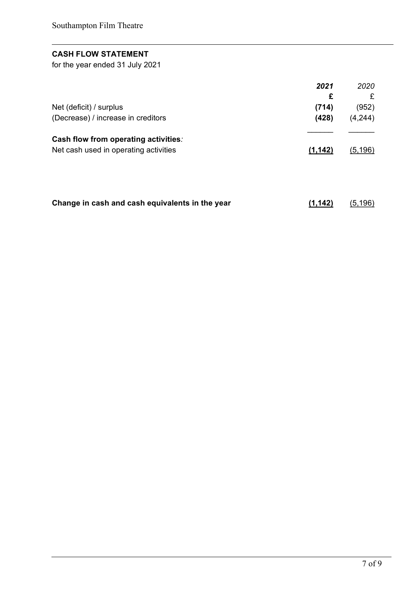## CASH FLOW STATEMENT

for the year ended 31 July 2021

|                                       | 2021     | 2020     |
|---------------------------------------|----------|----------|
|                                       | £        | £        |
| Net (deficit) / surplus               | (714)    | (952)    |
| (Decrease) / increase in creditors    | (428)    | (4,244)  |
| Cash flow from operating activities:  |          |          |
| Net cash used in operating activities | (1, 142) | (5, 196) |
|                                       |          |          |
|                                       |          |          |
|                                       |          |          |

| Change in cash and cash equivalents in the year | (1, 142) | <u>(5,196)</u> |
|-------------------------------------------------|----------|----------------|
|-------------------------------------------------|----------|----------------|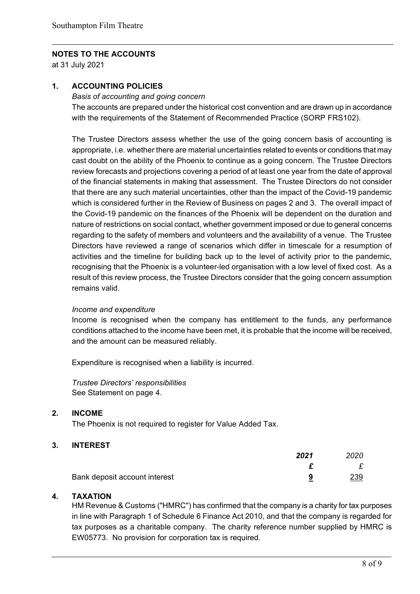#### NOTES TO THE ACCOUNTS

at 31 July 2021

#### 1. ACCOUNTING POLICIES

Basis of accounting and going concern

The accounts are prepared under the historical cost convention and are drawn up in accordance with the requirements of the Statement of Recommended Practice (SORP FRS102).

The Trustee Directors assess whether the use of the going concern basis of accounting is appropriate, i.e. whether there are material uncertainties related to events or conditions that may cast doubt on the ability of the Phoenix to continue as a going concern. The Trustee Directors review forecasts and projections covering a period of at least one year from the date of approval of the financial statements in making that assessment. The Trustee Directors do not consider that there are any such material uncertainties, other than the impact of the Covid-19 pandemic which is considered further in the Review of Business on pages 2 and 3. The overall impact of the Covid-19 pandemic on the finances of the Phoenix will be dependent on the duration and nature of restrictions on social contact, whether government imposed or due to general concerns regarding to the safety of members and volunteers and the availability of a venue. The Trustee Directors have reviewed a range of scenarios which differ in timescale for a resumption of activities and the timeline for building back up to the level of activity prior to the pandemic, recognising that the Phoenix is a volunteer-led organisation with a low level of fixed cost. As a result of this review process, the Trustee Directors consider that the going concern assumption remains valid.

#### Income and expenditure

Income is recognised when the company has entitlement to the funds, any performance conditions attached to the income have been met, it is probable that the income will be received, and the amount can be measured reliably.

Expenditure is recognised when a liability is incurred.

Trustee Directors' responsibilities See Statement on page 4.

#### 2. INCOME

The Phoenix is not required to register for Value Added Tax.

#### 3. INTEREST

|                               | 2021 | 2020       |
|-------------------------------|------|------------|
|                               |      |            |
| Bank deposit account interest |      | <u>239</u> |

#### 4. TAXATION

HM Revenue & Customs ("HMRC") has confirmed that the company is a charity for tax purposes in line with Paragraph 1 of Schedule 6 Finance Act 2010, and that the company is regarded for tax purposes as a charitable company. The charity reference number supplied by HMRC is EW05773. No provision for corporation tax is required.